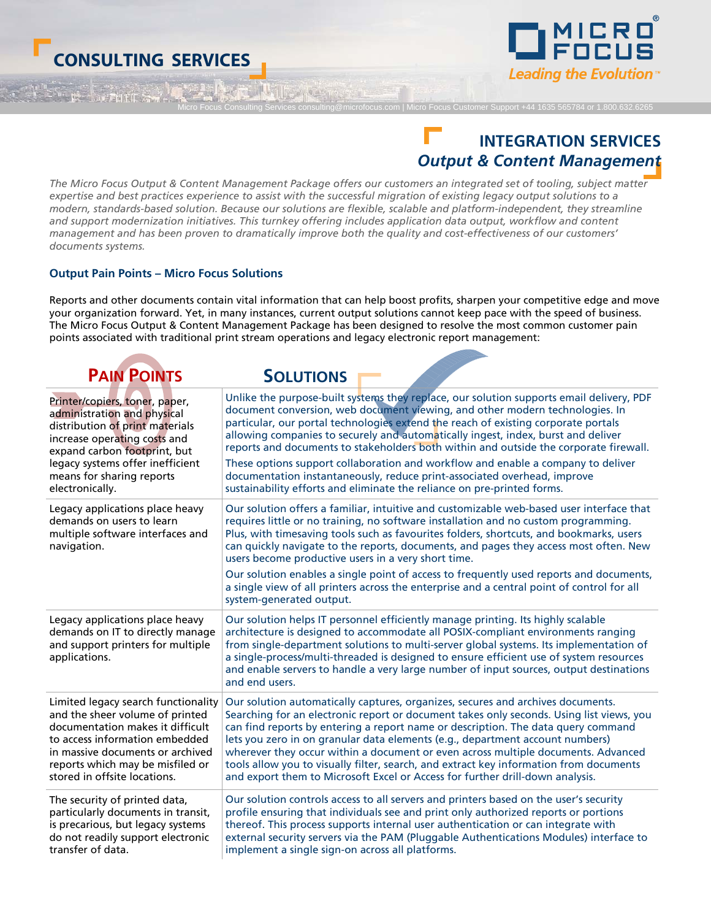# **CONSULTING SERVICES**



Micro Focus Customer Support +44 1635 565784 or 1.800.632.6265

# **INTEGRATION SERVICES**  *Output & Content Management*

*The Micro Focus Output & Content Management Package offers our customers an integrated set of tooling, subject matter expertise and best practices experience to assist with the successful migration of existing legacy output solutions to a modern, standards-based solution. Because our solutions are flexible, scalable and platform-independent, they streamline and support modernization initiatives. This turnkey offering includes application data output, workflow and content management and has been proven to dramatically improve both the quality and cost-effectiveness of our customers' documents systems.* 

d INA IS AND

#### **Output Pain Points – Micro Focus Solutions**

Reports and other documents contain vital information that can help boost profits, sharpen your competitive edge and move your organization forward. Yet, in many instances, current output solutions cannot keep pace with the speed of business. The Micro Focus Output & Content Management Package has been designed to resolve the most common customer pain points associated with traditional print stream operations and legacy electronic report management:

| <b>PAIN POINTS</b>                                                                                                        | <b>SOLUTIONS</b>                                                                                                                                                                                                                                                                                                                                                                                                                                                                                                                                                                                                                                |
|---------------------------------------------------------------------------------------------------------------------------|-------------------------------------------------------------------------------------------------------------------------------------------------------------------------------------------------------------------------------------------------------------------------------------------------------------------------------------------------------------------------------------------------------------------------------------------------------------------------------------------------------------------------------------------------------------------------------------------------------------------------------------------------|
| Printer/copiers, toner, paper,                                                                                            | Unlike the purpose-built systems they replace, our solution supports email delivery, PDF                                                                                                                                                                                                                                                                                                                                                                                                                                                                                                                                                        |
| administration and physical                                                                                               | document conversion, web document viewing, and other modern technologies. In                                                                                                                                                                                                                                                                                                                                                                                                                                                                                                                                                                    |
| distribution of print materials                                                                                           | particular, our portal technologies extend the reach of existing corporate portals                                                                                                                                                                                                                                                                                                                                                                                                                                                                                                                                                              |
| increase operating costs and                                                                                              | allowing companies to securely and automatically ingest, index, burst and deliver                                                                                                                                                                                                                                                                                                                                                                                                                                                                                                                                                               |
| expand carbon footprint, but                                                                                              | reports and documents to stakeholders both within and outside the corporate firewall.                                                                                                                                                                                                                                                                                                                                                                                                                                                                                                                                                           |
| legacy systems offer inefficient                                                                                          | These options support collaboration and workflow and enable a company to deliver                                                                                                                                                                                                                                                                                                                                                                                                                                                                                                                                                                |
| means for sharing reports                                                                                                 | documentation instantaneously, reduce print-associated overhead, improve                                                                                                                                                                                                                                                                                                                                                                                                                                                                                                                                                                        |
| electronically.                                                                                                           | sustainability efforts and eliminate the reliance on pre-printed forms.                                                                                                                                                                                                                                                                                                                                                                                                                                                                                                                                                                         |
| Legacy applications place heavy<br>demands on users to learn<br>multiple software interfaces and<br>navigation.           | Our solution offers a familiar, intuitive and customizable web-based user interface that<br>requires little or no training, no software installation and no custom programming.<br>Plus, with timesaving tools such as favourites folders, shortcuts, and bookmarks, users<br>can quickly navigate to the reports, documents, and pages they access most often. New<br>users become productive users in a very short time.<br>Our solution enables a single point of access to frequently used reports and documents,<br>a single view of all printers across the enterprise and a central point of control for all<br>system-generated output. |
| Legacy applications place heavy<br>demands on IT to directly manage<br>and support printers for multiple<br>applications. | Our solution helps IT personnel efficiently manage printing. Its highly scalable<br>architecture is designed to accommodate all POSIX-compliant environments ranging<br>from single-department solutions to multi-server global systems. Its implementation of<br>a single-process/multi-threaded is designed to ensure efficient use of system resources<br>and enable servers to handle a very large number of input sources, output destinations<br>and end users.                                                                                                                                                                           |
| Limited legacy search functionality                                                                                       | Our solution automatically captures, organizes, secures and archives documents.                                                                                                                                                                                                                                                                                                                                                                                                                                                                                                                                                                 |
| and the sheer volume of printed                                                                                           | Searching for an electronic report or document takes only seconds. Using list views, you                                                                                                                                                                                                                                                                                                                                                                                                                                                                                                                                                        |
| documentation makes it difficult                                                                                          | can find reports by entering a report name or description. The data query command                                                                                                                                                                                                                                                                                                                                                                                                                                                                                                                                                               |
| to access information embedded                                                                                            | lets you zero in on granular data elements (e.g., department account numbers)                                                                                                                                                                                                                                                                                                                                                                                                                                                                                                                                                                   |
| in massive documents or archived                                                                                          | wherever they occur within a document or even across multiple documents. Advanced                                                                                                                                                                                                                                                                                                                                                                                                                                                                                                                                                               |
| reports which may be misfiled or                                                                                          | tools allow you to visually filter, search, and extract key information from documents                                                                                                                                                                                                                                                                                                                                                                                                                                                                                                                                                          |
| stored in offsite locations.                                                                                              | and export them to Microsoft Excel or Access for further drill-down analysis.                                                                                                                                                                                                                                                                                                                                                                                                                                                                                                                                                                   |
| The security of printed data,                                                                                             | Our solution controls access to all servers and printers based on the user's security                                                                                                                                                                                                                                                                                                                                                                                                                                                                                                                                                           |
| particularly documents in transit,                                                                                        | profile ensuring that individuals see and print only authorized reports or portions                                                                                                                                                                                                                                                                                                                                                                                                                                                                                                                                                             |
| is precarious, but legacy systems                                                                                         | thereof. This process supports internal user authentication or can integrate with                                                                                                                                                                                                                                                                                                                                                                                                                                                                                                                                                               |
| do not readily support electronic                                                                                         | external security servers via the PAM (Pluggable Authentications Modules) interface to                                                                                                                                                                                                                                                                                                                                                                                                                                                                                                                                                          |
| transfer of data.                                                                                                         | implement a single sign-on across all platforms.                                                                                                                                                                                                                                                                                                                                                                                                                                                                                                                                                                                                |